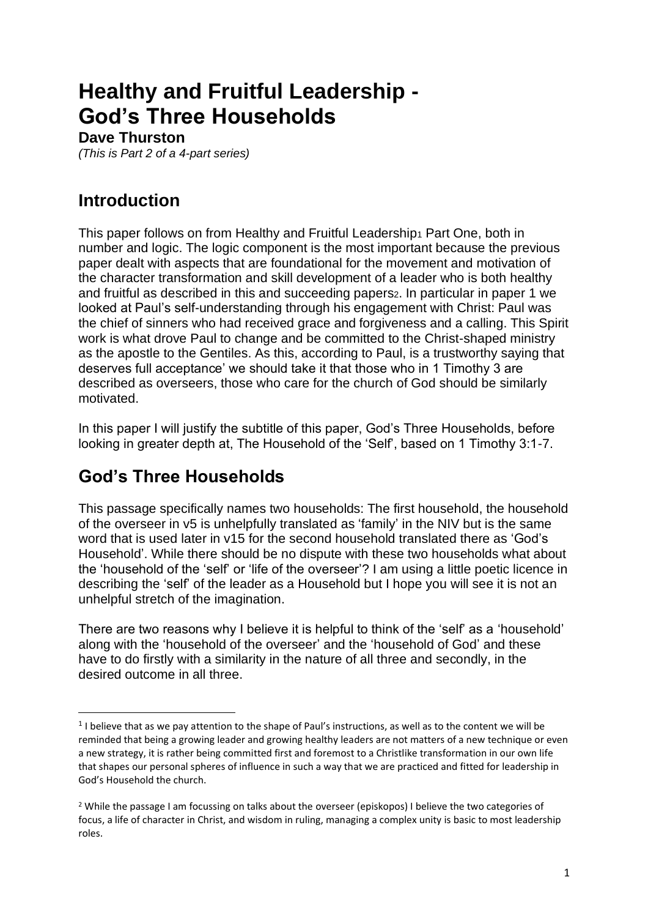# **Healthy and Fruitful Leadership - God's Three Households**

#### **Dave Thurston**

*(This is Part 2 of a 4-part series)*

## **Introduction**

This paper follows on from Healthy and Fruitful Leadership<sub>1</sub> Part One, both in number and logic. The logic component is the most important because the previous paper dealt with aspects that are foundational for the movement and motivation of the character transformation and skill development of a leader who is both healthy and fruitful as described in this and succeeding papers<sub>2</sub>. In particular in paper 1 we looked at Paul's self-understanding through his engagement with Christ: Paul was the chief of sinners who had received grace and forgiveness and a calling. This Spirit work is what drove Paul to change and be committed to the Christ-shaped ministry as the apostle to the Gentiles. As this, according to Paul, is a trustworthy saying that deserves full acceptance' we should take it that those who in 1 Timothy 3 are described as overseers, those who care for the church of God should be similarly motivated.

In this paper I will justify the subtitle of this paper, God's Three Households, before looking in greater depth at, The Household of the 'Self', based on 1 Timothy 3:1-7.

#### **God's Three Households**

This passage specifically names two households: The first household, the household of the overseer in v5 is unhelpfully translated as 'family' in the NIV but is the same word that is used later in v15 for the second household translated there as 'God's Household'. While there should be no dispute with these two households what about the 'household of the 'self' or 'life of the overseer'? I am using a little poetic licence in describing the 'self' of the leader as a Household but I hope you will see it is not an unhelpful stretch of the imagination.

There are two reasons why I believe it is helpful to think of the 'self' as a 'household' along with the 'household of the overseer' and the 'household of God' and these have to do firstly with a similarity in the nature of all three and secondly, in the desired outcome in all three.

 $<sup>1</sup>$  I believe that as we pay attention to the shape of Paul's instructions, as well as to the content we will be</sup> reminded that being a growing leader and growing healthy leaders are not matters of a new technique or even a new strategy, it is rather being committed first and foremost to a Christlike transformation in our own life that shapes our personal spheres of influence in such a way that we are practiced and fitted for leadership in God's Household the church.

<sup>2</sup> While the passage I am focussing on talks about the overseer (episkopos) I believe the two categories of focus, a life of character in Christ, and wisdom in ruling, managing a complex unity is basic to most leadership roles.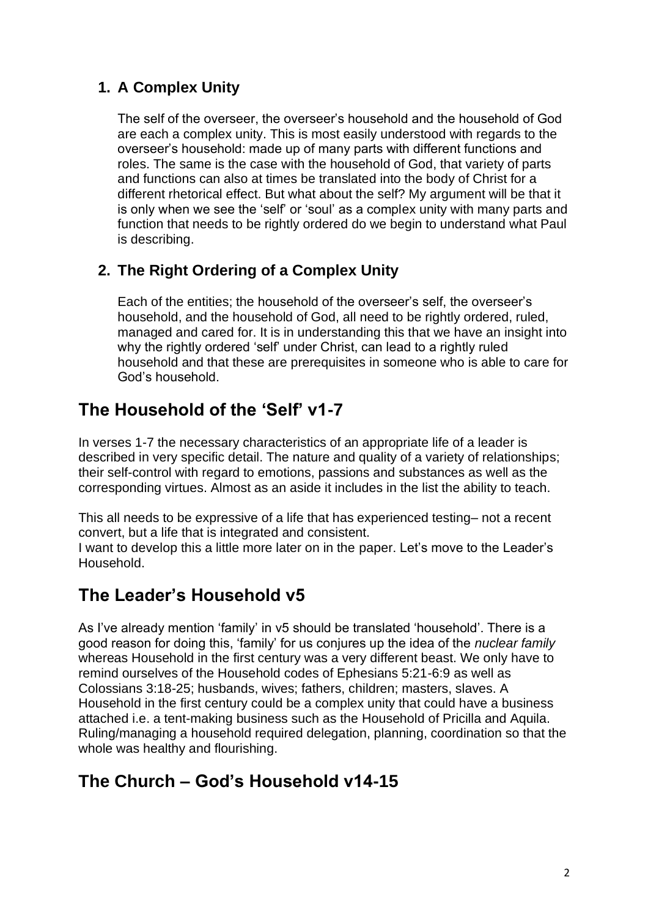#### **1. A Complex Unity**

The self of the overseer, the overseer's household and the household of God are each a complex unity. This is most easily understood with regards to the overseer's household: made up of many parts with different functions and roles. The same is the case with the household of God, that variety of parts and functions can also at times be translated into the body of Christ for a different rhetorical effect. But what about the self? My argument will be that it is only when we see the 'self' or 'soul' as a complex unity with many parts and function that needs to be rightly ordered do we begin to understand what Paul is describing.

#### **2. The Right Ordering of a Complex Unity**

Each of the entities; the household of the overseer's self, the overseer's household, and the household of God, all need to be rightly ordered, ruled, managed and cared for. It is in understanding this that we have an insight into why the rightly ordered 'self' under Christ, can lead to a rightly ruled household and that these are prerequisites in someone who is able to care for God's household.

# **The Household of the 'Self' v1-7**

In verses 1-7 the necessary characteristics of an appropriate life of a leader is described in very specific detail. The nature and quality of a variety of relationships; their self-control with regard to emotions, passions and substances as well as the corresponding virtues. Almost as an aside it includes in the list the ability to teach.

This all needs to be expressive of a life that has experienced testing– not a recent convert, but a life that is integrated and consistent.

I want to develop this a little more later on in the paper. Let's move to the Leader's Household.

#### **The Leader's Household v5**

As I've already mention 'family' in v5 should be translated 'household'. There is a good reason for doing this, 'family' for us conjures up the idea of the *nuclear family* whereas Household in the first century was a very different beast. We only have to remind ourselves of the Household codes of Ephesians 5:21-6:9 as well as Colossians 3:18-25; husbands, wives; fathers, children; masters, slaves. A Household in the first century could be a complex unity that could have a business attached i.e. a tent-making business such as the Household of Pricilla and Aquila. Ruling/managing a household required delegation, planning, coordination so that the whole was healthy and flourishing.

# **The Church – God's Household v14-15**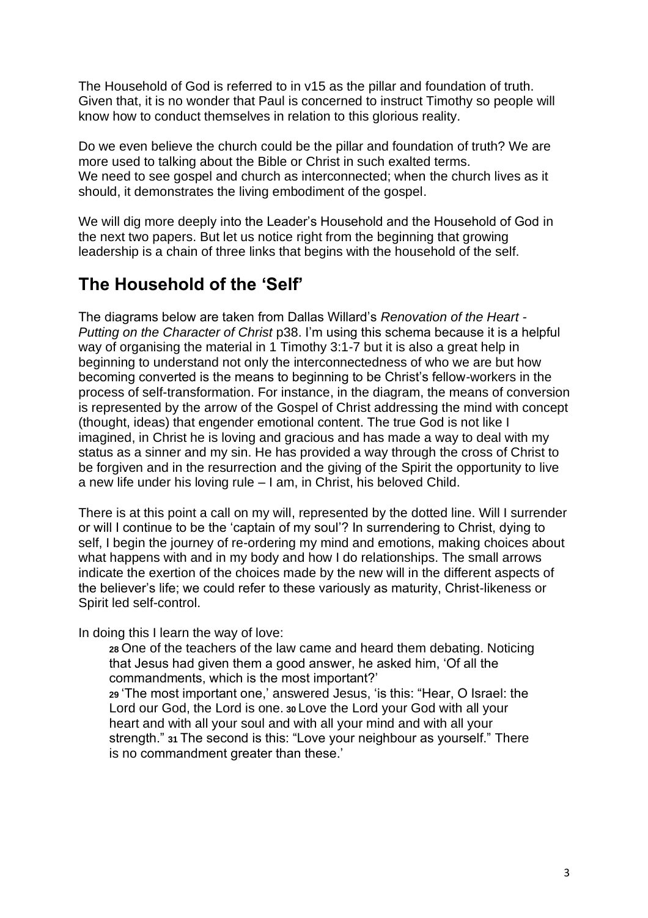The Household of God is referred to in v15 as the pillar and foundation of truth. Given that, it is no wonder that Paul is concerned to instruct Timothy so people will know how to conduct themselves in relation to this glorious reality.

Do we even believe the church could be the pillar and foundation of truth? We are more used to talking about the Bible or Christ in such exalted terms. We need to see gospel and church as interconnected; when the church lives as it should, it demonstrates the living embodiment of the gospel.

We will dig more deeply into the Leader's Household and the Household of God in the next two papers. But let us notice right from the beginning that growing leadership is a chain of three links that begins with the household of the self.

## **The Household of the 'Self'**

The diagrams below are taken from Dallas Willard's *Renovation of the Heart - Putting on the Character of Christ* p38. I'm using this schema because it is a helpful way of organising the material in 1 Timothy 3:1-7 but it is also a great help in beginning to understand not only the interconnectedness of who we are but how becoming converted is the means to beginning to be Christ's fellow-workers in the process of self-transformation. For instance, in the diagram, the means of conversion is represented by the arrow of the Gospel of Christ addressing the mind with concept (thought, ideas) that engender emotional content. The true God is not like I imagined, in Christ he is loving and gracious and has made a way to deal with my status as a sinner and my sin. He has provided a way through the cross of Christ to be forgiven and in the resurrection and the giving of the Spirit the opportunity to live a new life under his loving rule – I am, in Christ, his beloved Child.

There is at this point a call on my will, represented by the dotted line. Will I surrender or will I continue to be the 'captain of my soul'? In surrendering to Christ, dying to self, I begin the journey of re-ordering my mind and emotions, making choices about what happens with and in my body and how I do relationships. The small arrows indicate the exertion of the choices made by the new will in the different aspects of the believer's life; we could refer to these variously as maturity, Christ-likeness or Spirit led self-control.

In doing this I learn the way of love:

**<sup>28</sup>** One of the teachers of the law came and heard them debating. Noticing that Jesus had given them a good answer, he asked him, 'Of all the commandments, which is the most important?'

**<sup>29</sup>** 'The most important one,' answered Jesus, 'is this: "Hear, O Israel: the Lord our God, the Lord is one. **<sup>30</sup>** Love the Lord your God with all your heart and with all your soul and with all your mind and with all your strength." **<sup>31</sup>** The second is this: "Love your neighbour as yourself." There is no commandment greater than these.'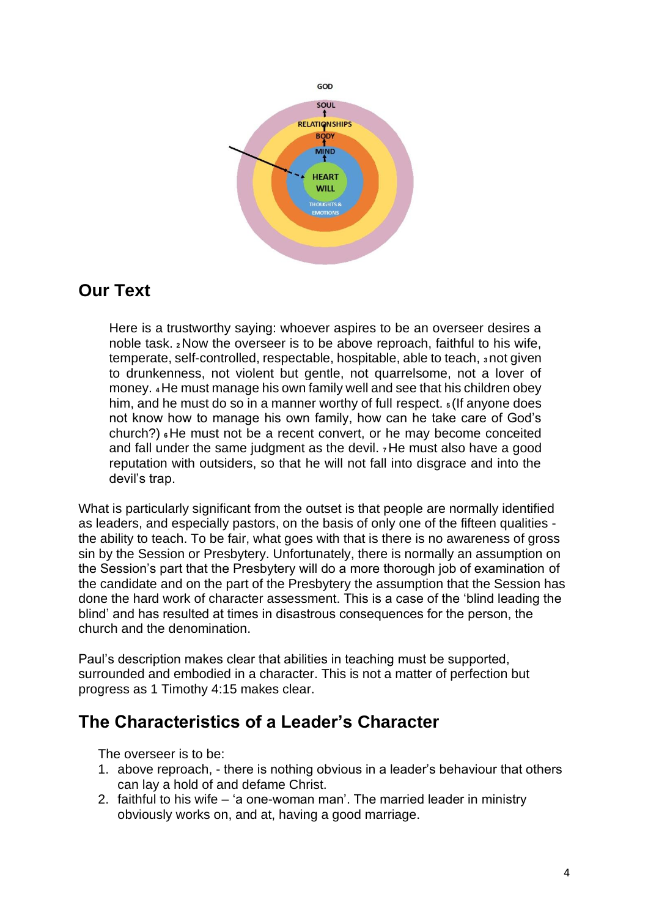

#### **Our Text**

Here is a trustworthy saying: whoever aspires to be an overseer desires a noble task. **<sup>2</sup>**Now the overseer is to be above reproach, faithful to his wife, temperate, self-controlled, respectable, hospitable, able to teach, **<sup>3</sup>** not given to drunkenness, not violent but gentle, not quarrelsome, not a lover of money. **<sup>4</sup>**He must manage his own family well and see that his children obey him, and he must do so in a manner worthy of full respect. **<sup>5</sup>** (If anyone does not know how to manage his own family, how can he take care of God's church?) **<sup>6</sup>**He must not be a recent convert, or he may become conceited and fall under the same judgment as the devil. **<sup>7</sup>**He must also have a good reputation with outsiders, so that he will not fall into disgrace and into the devil's trap.

What is particularly significant from the outset is that people are normally identified as leaders, and especially pastors, on the basis of only one of the fifteen qualities the ability to teach. To be fair, what goes with that is there is no awareness of gross sin by the Session or Presbytery. Unfortunately, there is normally an assumption on the Session's part that the Presbytery will do a more thorough job of examination of the candidate and on the part of the Presbytery the assumption that the Session has done the hard work of character assessment. This is a case of the 'blind leading the blind' and has resulted at times in disastrous consequences for the person, the church and the denomination.

Paul's description makes clear that abilities in teaching must be supported, surrounded and embodied in a character. This is not a matter of perfection but progress as 1 Timothy 4:15 makes clear.

#### **The Characteristics of a Leader's Character**

The overseer is to be:

- 1. above reproach, there is nothing obvious in a leader's behaviour that others can lay a hold of and defame Christ.
- 2. faithful to his wife 'a one-woman man'. The married leader in ministry obviously works on, and at, having a good marriage.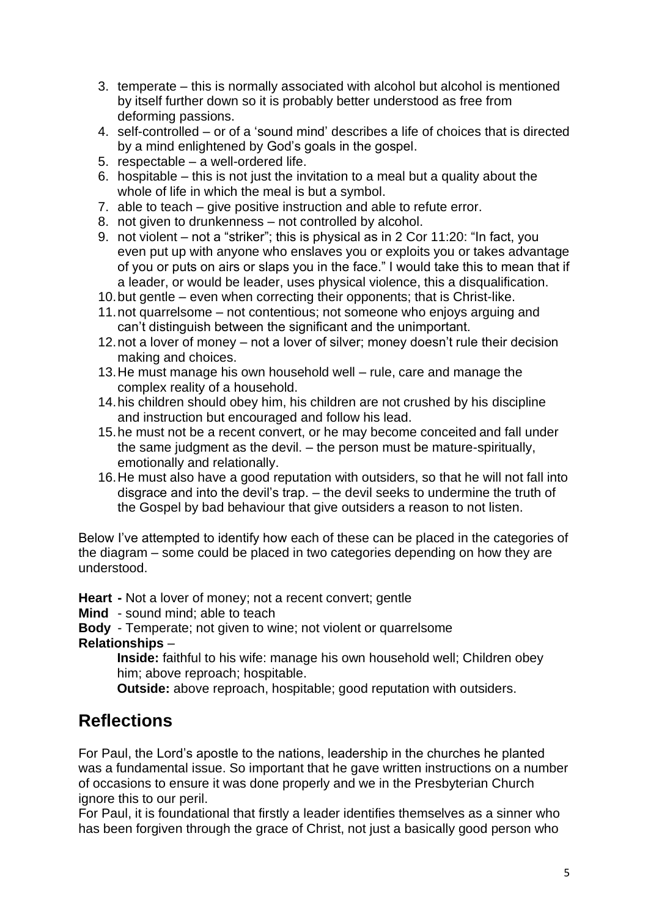- 3. temperate this is normally associated with alcohol but alcohol is mentioned by itself further down so it is probably better understood as free from deforming passions.
- 4. self-controlled or of a 'sound mind' describes a life of choices that is directed by a mind enlightened by God's goals in the gospel.
- 5. respectable a well-ordered life.
- 6. hospitable this is not just the invitation to a meal but a quality about the whole of life in which the meal is but a symbol.
- 7. able to teach give positive instruction and able to refute error.
- 8. not given to drunkenness not controlled by alcohol.
- 9. not violent not a "striker"; this is physical as in 2 Cor 11:20: "In fact, you even put up with anyone who enslaves you or exploits you or takes advantage of you or puts on airs or slaps you in the face." I would take this to mean that if a leader, or would be leader, uses physical violence, this a disqualification.
- 10.but gentle even when correcting their opponents; that is Christ-like.
- 11.not quarrelsome not contentious; not someone who enjoys arguing and can't distinguish between the significant and the unimportant.
- 12.not a lover of money not a lover of silver; money doesn't rule their decision making and choices.
- 13.He must manage his own household well rule, care and manage the complex reality of a household.
- 14.his children should obey him, his children are not crushed by his discipline and instruction but encouraged and follow his lead.
- 15.he must not be a recent convert, or he may become conceited and fall under the same judgment as the devil. – the person must be mature-spiritually, emotionally and relationally.
- 16.He must also have a good reputation with outsiders, so that he will not fall into disgrace and into the devil's trap. – the devil seeks to undermine the truth of the Gospel by bad behaviour that give outsiders a reason to not listen.

Below I've attempted to identify how each of these can be placed in the categories of the diagram – some could be placed in two categories depending on how they are understood.

**Heart -** Not a lover of money; not a recent convert; gentle

**Mind** - sound mind; able to teach

**Body** - Temperate; not given to wine; not violent or quarrelsome

#### **Relationships** –

**Inside:** faithful to his wife: manage his own household well; Children obey him; above reproach; hospitable.

**Outside:** above reproach, hospitable; good reputation with outsiders.

#### **Reflections**

For Paul, the Lord's apostle to the nations, leadership in the churches he planted was a fundamental issue. So important that he gave written instructions on a number of occasions to ensure it was done properly and we in the Presbyterian Church ignore this to our peril.

For Paul, it is foundational that firstly a leader identifies themselves as a sinner who has been forgiven through the grace of Christ, not just a basically good person who